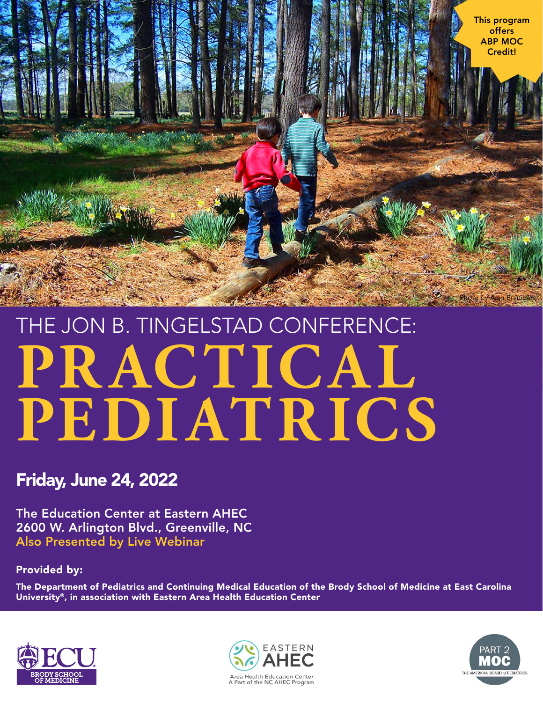

# PRACTICAL **PEDIATRICS** THE JON B. TINGELSTAD CONFERENCE:

## Friday, June 24, 2022

The Education Center at Eastern AHEC 2600 W. Arlington Blvd., Greenville, NC Also Presented by Live Webinar

Provided by:

The Department of Pediatrics and Continuing Medical Education of the Brody School of Medicine at East Carolina University®, in association with Eastern Area Health Education Center





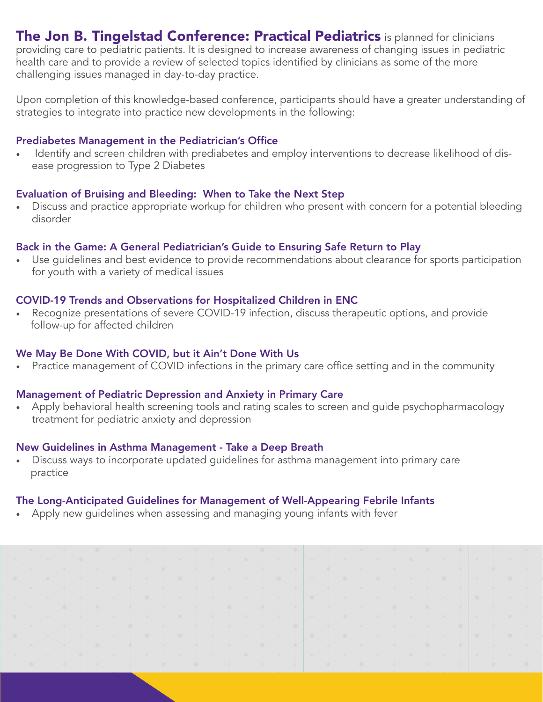The Jon B. Tingelstad Conference: Practical Pediatrics is planned for clinicians providing care to pediatric patients. It is designed to increase awareness of changing issues in pediatric health care and to provide a review of selected topics identified by clinicians as some of the more challenging issues managed in day-to-day practice.

Upon completion of this knowledge-based conference, participants should have a greater understanding of strategies to integrate into practice new developments in the following:

#### Prediabetes Management in the Pediatrician's Office

Identify and screen children with prediabetes and employ interventions to decrease likelihood of disease progression to Type 2 Diabetes

#### Evaluation of Bruising and Bleeding: When to Take the Next Step

• Discuss and practice appropriate workup for children who present with concern for a potential bleeding disorder

#### Back in the Game: A General Pediatrician's Guide to Ensuring Safe Return to Play

• Use guidelines and best evidence to provide recommendations about clearance for sports participation for youth with a variety of medical issues

#### COVID-19 Trends and Observations for Hospitalized Children in ENC

• Recognize presentations of severe COVID-19 infection, discuss therapeutic options, and provide follow-up for affected children

#### We May Be Done With COVID, but it Ain't Done With Us

• Practice management of COVID infections in the primary care office setting and in the community

#### Management of Pediatric Depression and Anxiety in Primary Care

• Apply behavioral health screening tools and rating scales to screen and guide psychopharmacology treatment for pediatric anxiety and depression

#### New Guidelines in Asthma Management - Take a Deep Breath

• Discuss ways to incorporate updated quidelines for asthma management into primary care practice

#### The Long-Anticipated Guidelines for Management of Well-Appearing Febrile Infants

• Apply new guidelines when assessing and managing young infants with fever

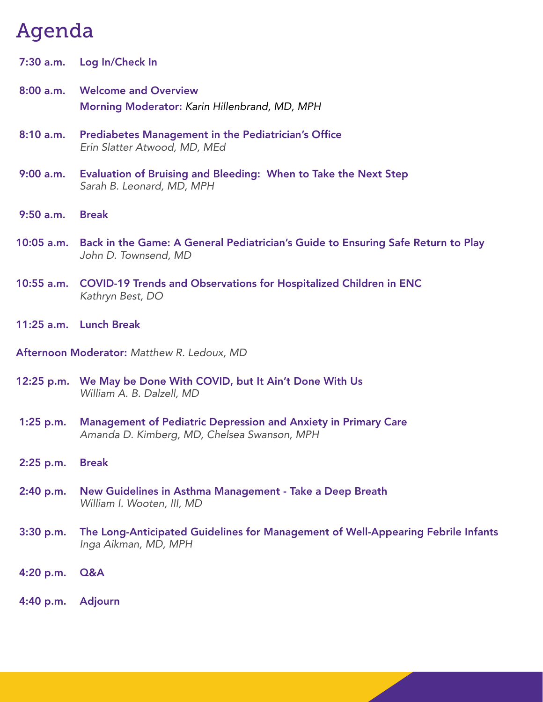# Agenda

|             | 7:30 a.m. Log In/Check In                                                                           |
|-------------|-----------------------------------------------------------------------------------------------------|
|             | 8:00 a.m. Welcome and Overview<br>Morning Moderator: Karin Hillenbrand, MD, MPH                     |
| 8:10 a.m.   | <b>Prediabetes Management in the Pediatrician's Office</b><br>Erin Slatter Atwood, MD, MEd          |
| $9:00$ a.m. | <b>Evaluation of Bruising and Bleeding: When to Take the Next Step</b><br>Sarah B. Leonard, MD, MPH |

- 9:50 a.m. Break
- 10:05 a.m. Back in the Game: A General Pediatrician's Guide to Ensuring Safe Return to Play *John D. Townsend, MD*
- 10:55 a.m. COVID-19 Trends and Observations for Hospitalized Children in ENC *Kathryn Best, DO*
- 11:25 a.m. Lunch Break

Afternoon Moderator: *Matthew R. Ledoux, MD*

- 12:25 p.m. We May be Done With COVID, but It Ain't Done With Us *William A. B. Dalzell, MD*
- 1:25 p.m. Management of Pediatric Depression and Anxiety in Primary Care *Amanda D. Kimberg, MD, Chelsea Swanson, MPH*
- 2:25 p.m. Break
- 2:40 p.m. New Guidelines in Asthma Management Take a Deep Breath *William I. Wooten, III, MD*
- 3:30 p.m. The Long-Anticipated Guidelines for Management of Well-Appearing Febrile Infants *Inga Aikman, MD, MPH*
- 4:20 p.m. Q&A
- 4:40 p.m. Adjourn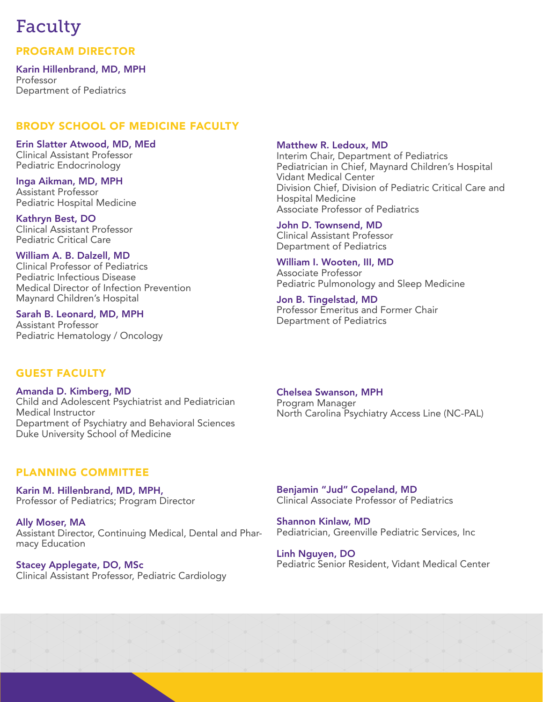## Faculty

PROGRAM DIRECTOR

Karin Hillenbrand, MD, MPH Professor Department of Pediatrics

#### BRODY SCHOOL OF MEDICINE FACULTY

Erin Slatter Atwood, MD, MEd Clinical Assistant Professor Pediatric Endocrinology

Inga Aikman, MD, MPH Assistant Professor Pediatric Hospital Medicine

Kathryn Best, DO Clinical Assistant Professor Pediatric Critical Care

William A. B. Dalzell, MD Clinical Professor of Pediatrics Pediatric Infectious Disease Medical Director of Infection Prevention Maynard Children's Hospital

Sarah B. Leonard, MD, MPH Assistant Professor Pediatric Hematology / Oncology

#### Matthew R. Ledoux, MD

Interim Chair, Department of Pediatrics Pediatrician in Chief, Maynard Children's Hospital Vidant Medical Center Division Chief, Division of Pediatric Critical Care and Hospital Medicine Associate Professor of Pediatrics

John D. Townsend, MD Clinical Assistant Professor Department of Pediatrics

William I. Wooten, III, MD Associate Professor Pediatric Pulmonology and Sleep Medicine

Jon B. Tingelstad, MD Professor Emeritus and Former Chair Department of Pediatrics

#### Guest Faculty

Amanda D. Kimberg, MD Child and Adolescent Psychiatrist and Pediatrician Medical Instructor Department of Psychiatry and Behavioral Sciences Duke University School of Medicine

Chelsea Swanson, MPH Program Manager North Carolina Psychiatry Access Line (NC-PAL)

#### PLANNING COMMITTEE

Karin M. Hillenbrand, MD, MPH, Professor of Pediatrics; Program Director

Ally Moser, MA Assistant Director, Continuing Medical, Dental and Pharmacy Education

Stacey Applegate, DO, MSc Clinical Assistant Professor, Pediatric Cardiology

Benjamin "Jud" Copeland, MD Clinical Associate Professor of Pediatrics

Shannon Kinlaw, MD Pediatrician, Greenville Pediatric Services, Inc

Linh Nguyen, DO Pediatric Senior Resident, Vidant Medical Center